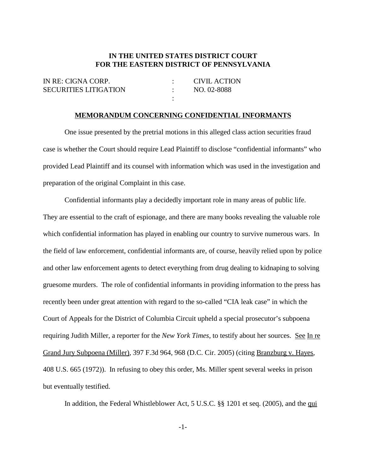## **IN THE UNITED STATES DISTRICT COURT FOR THE EASTERN DISTRICT OF PENNSYLVANIA**

| IN RE: CIGNA CORP.           | CIVIL ACTION |
|------------------------------|--------------|
| <b>SECURITIES LITIGATION</b> | NO. 02-8088  |
|                              |              |

## **MEMORANDUM CONCERNING CONFIDENTIAL INFORMANTS**

One issue presented by the pretrial motions in this alleged class action securities fraud case is whether the Court should require Lead Plaintiff to disclose "confidential informants" who provided Lead Plaintiff and its counsel with information which was used in the investigation and preparation of the original Complaint in this case.

Confidential informants play a decidedly important role in many areas of public life. They are essential to the craft of espionage, and there are many books revealing the valuable role which confidential information has played in enabling our country to survive numerous wars. In the field of law enforcement, confidential informants are, of course, heavily relied upon by police and other law enforcement agents to detect everything from drug dealing to kidnaping to solving gruesome murders. The role of confidential informants in providing information to the press has recently been under great attention with regard to the so-called "CIA leak case" in which the Court of Appeals for the District of Columbia Circuit upheld a special prosecutor's subpoena requiring Judith Miller, a reporter for the *New York Times*, to testify about her sources. See In re Grand Jury Subpoena (Miller), 397 F.3d 964, 968 (D.C. Cir. 2005) (citing Branzburg v. Hayes, 408 U.S. 665 (1972)). In refusing to obey this order, Ms. Miller spent several weeks in prison but eventually testified.

In addition, the Federal Whistleblower Act, 5 U.S.C. §§ 1201 et seq. (2005), and the qui

-1-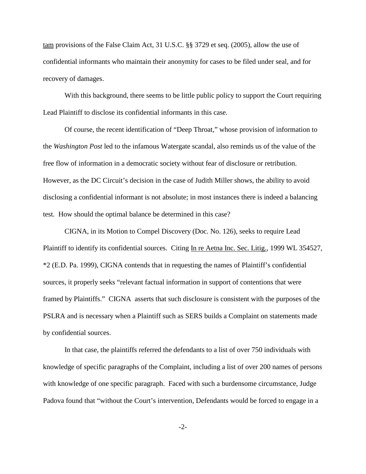tam provisions of the False Claim Act, 31 U.S.C. §§ 3729 et seq. (2005), allow the use of confidential informants who maintain their anonymity for cases to be filed under seal, and for recovery of damages.

With this background, there seems to be little public policy to support the Court requiring Lead Plaintiff to disclose its confidential informants in this case.

Of course, the recent identification of "Deep Throat," whose provision of information to the *Washington Post* led to the infamous Watergate scandal, also reminds us of the value of the free flow of information in a democratic society without fear of disclosure or retribution. However, as the DC Circuit's decision in the case of Judith Miller shows, the ability to avoid disclosing a confidential informant is not absolute; in most instances there is indeed a balancing test. How should the optimal balance be determined in this case?

CIGNA, in its Motion to Compel Discovery (Doc. No. 126), seeks to require Lead Plaintiff to identify its confidential sources. Citing In re Aetna Inc. Sec. Litig., 1999 WL 354527, \*2 (E.D. Pa. 1999), CIGNA contends that in requesting the names of Plaintiff's confidential sources, it properly seeks "relevant factual information in support of contentions that were framed by Plaintiffs." CIGNA asserts that such disclosure is consistent with the purposes of the PSLRA and is necessary when a Plaintiff such as SERS builds a Complaint on statements made by confidential sources.

In that case, the plaintiffs referred the defendants to a list of over 750 individuals with knowledge of specific paragraphs of the Complaint, including a list of over 200 names of persons with knowledge of one specific paragraph. Faced with such a burdensome circumstance, Judge Padova found that "without the Court's intervention, Defendants would be forced to engage in a

-2-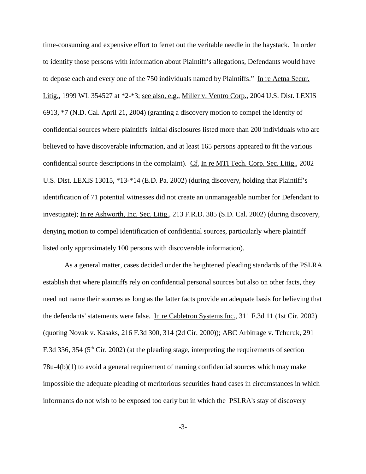time-consuming and expensive effort to ferret out the veritable needle in the haystack. In order to identify those persons with information about Plaintiff's allegations, Defendants would have to depose each and every one of the 750 individuals named by Plaintiffs." In re Aetna Secur. Litig., 1999 WL 354527 at \*2-\*3; see also, e.g., Miller v. Ventro Corp., 2004 U.S. Dist. LEXIS 6913, \*7 (N.D. Cal. April 21, 2004) (granting a discovery motion to compel the identity of confidential sources where plaintiffs' initial disclosures listed more than 200 individuals who are believed to have discoverable information, and at least 165 persons appeared to fit the various confidential source descriptions in the complaint). Cf. In re MTI Tech. Corp. Sec. Litig., 2002 U.S. Dist. LEXIS 13015, \*13-\*14 (E.D. Pa. 2002) (during discovery, holding that Plaintiff's identification of 71 potential witnesses did not create an unmanageable number for Defendant to investigate); In re Ashworth, Inc. Sec. Litig., 213 F.R.D. 385 (S.D. Cal. 2002) (during discovery, denying motion to compel identification of confidential sources, particularly where plaintiff listed only approximately 100 persons with discoverable information).

As a general matter, cases decided under the heightened pleading standards of the PSLRA establish that where plaintiffs rely on confidential personal sources but also on other facts, they need not name their sources as long as the latter facts provide an adequate basis for believing that the defendants' statements were false. In re Cabletron Systems Inc., 311 F.3d 11 (1st Cir. 2002) (quoting Novak v. Kasaks, 216 F.3d 300, 314 (2d Cir. 2000)); ABC Arbitrage v. Tchuruk, 291 F.3d 336, 354 ( $5<sup>th</sup>$  Cir. 2002) (at the pleading stage, interpreting the requirements of section 78u-4(b)(1) to avoid a general requirement of naming confidential sources which may make impossible the adequate pleading of meritorious securities fraud cases in circumstances in which informants do not wish to be exposed too early but in which the PSLRA's stay of discovery

-3-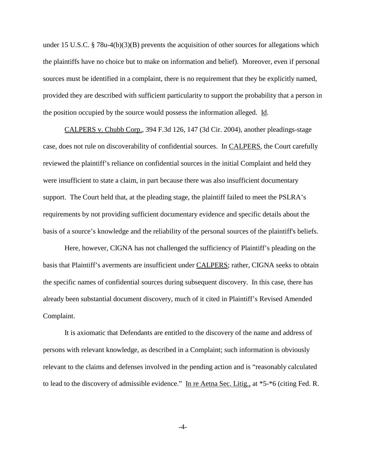under 15 U.S.C. § 78u-4(b)(3)(B) prevents the acquisition of other sources for allegations which the plaintiffs have no choice but to make on information and belief). Moreover, even if personal sources must be identified in a complaint, there is no requirement that they be explicitly named, provided they are described with sufficient particularity to support the probability that a person in the position occupied by the source would possess the information alleged. Id.

CALPERS v. Chubb Corp., 394 F.3d 126, 147 (3d Cir. 2004), another pleadings-stage case, does not rule on discoverability of confidential sources. In CALPERS, the Court carefully reviewed the plaintiff's reliance on confidential sources in the initial Complaint and held they were insufficient to state a claim, in part because there was also insufficient documentary support. The Court held that, at the pleading stage, the plaintiff failed to meet the PSLRA's requirements by not providing sufficient documentary evidence and specific details about the basis of a source's knowledge and the reliability of the personal sources of the plaintiff's beliefs.

Here, however, CIGNA has not challenged the sufficiency of Plaintiff's pleading on the basis that Plaintiff's averments are insufficient under CALPERS; rather, CIGNA seeks to obtain the specific names of confidential sources during subsequent discovery. In this case, there has already been substantial document discovery, much of it cited in Plaintiff's Revised Amended Complaint.

It is axiomatic that Defendants are entitled to the discovery of the name and address of persons with relevant knowledge, as described in a Complaint; such information is obviously relevant to the claims and defenses involved in the pending action and is "reasonably calculated to lead to the discovery of admissible evidence." In re Aetna Sec. Litig., at \*5-\*6 (citing Fed. R.

-4-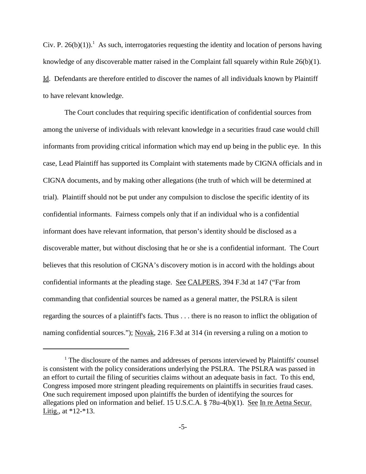Civ. P. 26(b)(1)).<sup>1</sup> As such, interrogatories requesting the identity and location of persons having knowledge of any discoverable matter raised in the Complaint fall squarely within Rule 26(b)(1). Id. Defendants are therefore entitled to discover the names of all individuals known by Plaintiff to have relevant knowledge.

The Court concludes that requiring specific identification of confidential sources from among the universe of individuals with relevant knowledge in a securities fraud case would chill informants from providing critical information which may end up being in the public eye. In this case, Lead Plaintiff has supported its Complaint with statements made by CIGNA officials and in CIGNA documents, and by making other allegations (the truth of which will be determined at trial). Plaintiff should not be put under any compulsion to disclose the specific identity of its confidential informants. Fairness compels only that if an individual who is a confidential informant does have relevant information, that person's identity should be disclosed as a discoverable matter, but without disclosing that he or she is a confidential informant. The Court believes that this resolution of CIGNA's discovery motion is in accord with the holdings about confidential informants at the pleading stage. See CALPERS, 394 F.3d at 147 ("Far from commanding that confidential sources be named as a general matter, the PSLRA is silent regarding the sources of a plaintiff's facts. Thus . . . there is no reason to inflict the obligation of naming confidential sources."); Novak, 216 F.3d at 314 (in reversing a ruling on a motion to

<sup>&</sup>lt;sup>1</sup> The disclosure of the names and addresses of persons interviewed by Plaintiffs' counsel is consistent with the policy considerations underlying the PSLRA. The PSLRA was passed in an effort to curtail the filing of securities claims without an adequate basis in fact. To this end, Congress imposed more stringent pleading requirements on plaintiffs in securities fraud cases. One such requirement imposed upon plaintiffs the burden of identifying the sources for allegations pled on information and belief. 15 U.S.C.A. § 78u-4(b)(1). See In re Aetna Secur. Litig., at \*12-\*13.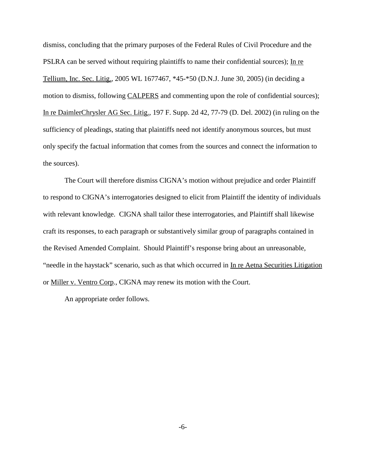dismiss, concluding that the primary purposes of the Federal Rules of Civil Procedure and the PSLRA can be served without requiring plaintiffs to name their confidential sources); In re Tellium, Inc. Sec. Litig., 2005 WL 1677467, \*45-\*50 (D.N.J. June 30, 2005) (in deciding a motion to dismiss, following CALPERS and commenting upon the role of confidential sources); In re DaimlerChrysler AG Sec. Litig., 197 F. Supp. 2d 42, 77-79 (D. Del. 2002) (in ruling on the sufficiency of pleadings, stating that plaintiffs need not identify anonymous sources, but must only specify the factual information that comes from the sources and connect the information to the sources).

The Court will therefore dismiss CIGNA's motion without prejudice and order Plaintiff to respond to CIGNA's interrogatories designed to elicit from Plaintiff the identity of individuals with relevant knowledge. CIGNA shall tailor these interrogatories, and Plaintiff shall likewise craft its responses, to each paragraph or substantively similar group of paragraphs contained in the Revised Amended Complaint. Should Plaintiff's response bring about an unreasonable, "needle in the haystack" scenario, such as that which occurred in In re Aetna Securities Litigation or Miller v. Ventro Corp., CIGNA may renew its motion with the Court.

An appropriate order follows.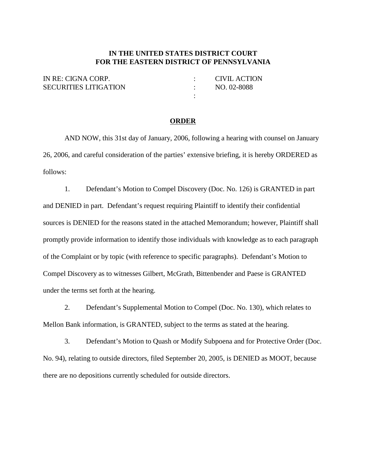## **IN THE UNITED STATES DISTRICT COURT FOR THE EASTERN DISTRICT OF PENNSYLVANIA**

| IN RE: CIGNA CORP.           | CIVIL ACTION |
|------------------------------|--------------|
| <b>SECURITIES LITIGATION</b> | NO. 02-8088  |
|                              |              |

## **ORDER**

AND NOW, this 31st day of January, 2006, following a hearing with counsel on January 26, 2006, and careful consideration of the parties' extensive briefing, it is hereby ORDERED as follows:

1. Defendant's Motion to Compel Discovery (Doc. No. 126) is GRANTED in part and DENIED in part. Defendant's request requiring Plaintiff to identify their confidential sources is DENIED for the reasons stated in the attached Memorandum; however, Plaintiff shall promptly provide information to identify those individuals with knowledge as to each paragraph of the Complaint or by topic (with reference to specific paragraphs). Defendant's Motion to Compel Discovery as to witnesses Gilbert, McGrath, Bittenbender and Paese is GRANTED under the terms set forth at the hearing.

2. Defendant's Supplemental Motion to Compel (Doc. No. 130), which relates to Mellon Bank information, is GRANTED, subject to the terms as stated at the hearing.

3. Defendant's Motion to Quash or Modify Subpoena and for Protective Order (Doc. No. 94), relating to outside directors, filed September 20, 2005, is DENIED as MOOT, because there are no depositions currently scheduled for outside directors.